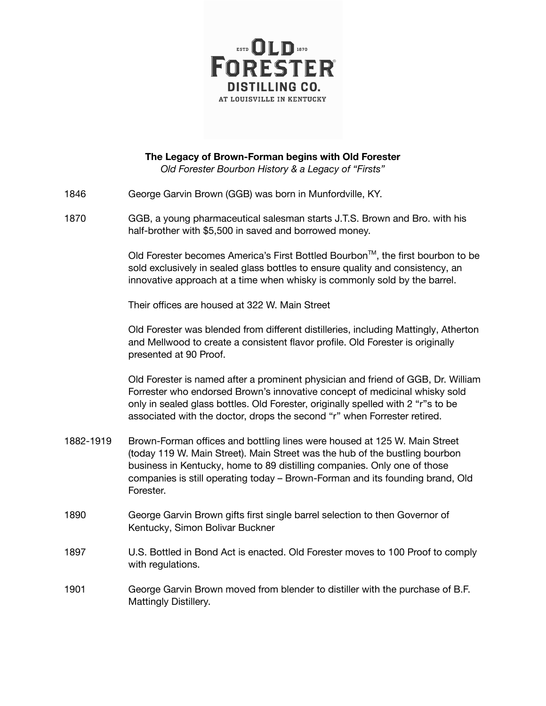

**The Legacy of Brown-Forman begins with Old Forester** *Old Forester Bourbon History & a Legacy of "Firsts"*

- 1846 George Garvin Brown (GGB) was born in Munfordville, KY.
- 1870 GGB, a young pharmaceutical salesman starts J.T.S. Brown and Bro. with his half-brother with \$5,500 in saved and borrowed money.

Old Forester becomes America's First Bottled Bourbon™, the first bourbon to be sold exclusively in sealed glass bottles to ensure quality and consistency, an innovative approach at a time when whisky is commonly sold by the barrel.

Their offices are housed at 322 W. Main Street

Old Forester was blended from different distilleries, including Mattingly, Atherton and Mellwood to create a consistent flavor profile. Old Forester is originally presented at 90 Proof.

Old Forester is named after a prominent physician and friend of GGB, Dr. William Forrester who endorsed Brown's innovative concept of medicinal whisky sold only in sealed glass bottles. Old Forester, originally spelled with 2 "r"s to be associated with the doctor, drops the second "r" when Forrester retired.

- 1882-1919 Brown-Forman offices and bottling lines were housed at 125 W. Main Street (today 119 W. Main Street). Main Street was the hub of the bustling bourbon business in Kentucky, home to 89 distilling companies. Only one of those companies is still operating today – Brown-Forman and its founding brand, Old Forester.
- 1890 George Garvin Brown gifts first single barrel selection to then Governor of Kentucky, Simon Bolivar Buckner
- 1897 U.S. Bottled in Bond Act is enacted. Old Forester moves to 100 Proof to comply with regulations.
- 1901 George Garvin Brown moved from blender to distiller with the purchase of B.F. Mattingly Distillery.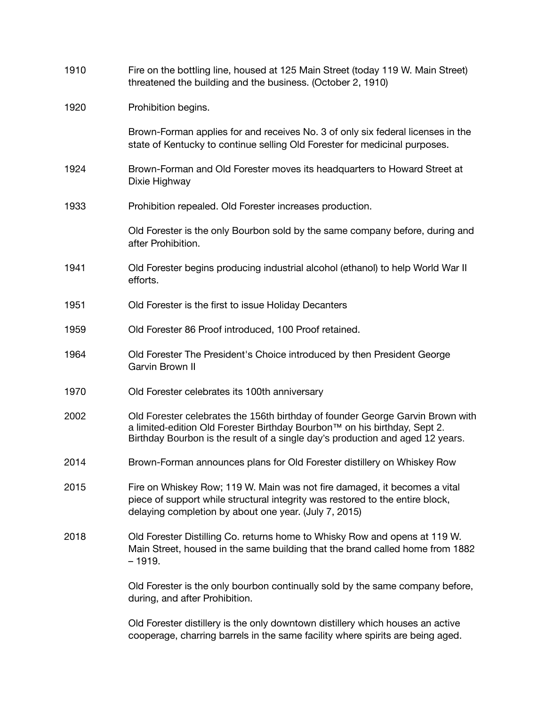| 1910 | Fire on the bottling line, housed at 125 Main Street (today 119 W. Main Street)<br>threatened the building and the business. (October 2, 1910)                                                                                                |
|------|-----------------------------------------------------------------------------------------------------------------------------------------------------------------------------------------------------------------------------------------------|
| 1920 | Prohibition begins.                                                                                                                                                                                                                           |
|      | Brown-Forman applies for and receives No. 3 of only six federal licenses in the<br>state of Kentucky to continue selling Old Forester for medicinal purposes.                                                                                 |
| 1924 | Brown-Forman and Old Forester moves its headquarters to Howard Street at<br>Dixie Highway                                                                                                                                                     |
| 1933 | Prohibition repealed. Old Forester increases production.                                                                                                                                                                                      |
|      | Old Forester is the only Bourbon sold by the same company before, during and<br>after Prohibition.                                                                                                                                            |
| 1941 | Old Forester begins producing industrial alcohol (ethanol) to help World War II<br>efforts.                                                                                                                                                   |
| 1951 | Old Forester is the first to issue Holiday Decanters                                                                                                                                                                                          |
| 1959 | Old Forester 86 Proof introduced, 100 Proof retained.                                                                                                                                                                                         |
| 1964 | Old Forester The President's Choice introduced by then President George<br>Garvin Brown II                                                                                                                                                    |
| 1970 | Old Forester celebrates its 100th anniversary                                                                                                                                                                                                 |
| 2002 | Old Forester celebrates the 156th birthday of founder George Garvin Brown with<br>a limited-edition Old Forester Birthday Bourbon™ on his birthday, Sept 2.<br>Birthday Bourbon is the result of a single day's production and aged 12 years. |
| 2014 | Brown-Forman announces plans for Old Forester distillery on Whiskey Row                                                                                                                                                                       |
| 2015 | Fire on Whiskey Row; 119 W. Main was not fire damaged, it becomes a vital<br>piece of support while structural integrity was restored to the entire block,<br>delaying completion by about one year. (July 7, 2015)                           |
| 2018 | Old Forester Distilling Co. returns home to Whisky Row and opens at 119 W.<br>Main Street, housed in the same building that the brand called home from 1882<br>$-1919.$                                                                       |
|      | Old Forester is the only bourbon continually sold by the same company before,<br>during, and after Prohibition.                                                                                                                               |
|      | Old Forester distillery is the only downtown distillery which houses an active<br>cooperage, charring barrels in the same facility where spirits are being aged.                                                                              |